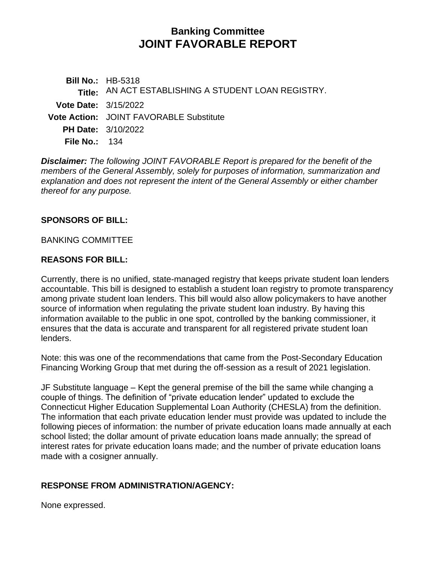# **Banking Committee JOINT FAVORABLE REPORT**

**Bill No.:** HB-5318 **Title:** AN ACT ESTABLISHING A STUDENT LOAN REGISTRY. **Vote Date:** 3/15/2022 **Vote Action:** JOINT FAVORABLE Substitute **PH Date:** 3/10/2022 **File No.:** 134

*Disclaimer: The following JOINT FAVORABLE Report is prepared for the benefit of the members of the General Assembly, solely for purposes of information, summarization and explanation and does not represent the intent of the General Assembly or either chamber thereof for any purpose.*

### **SPONSORS OF BILL:**

#### BANKING COMMITTEE

### **REASONS FOR BILL:**

Currently, there is no unified, state-managed registry that keeps private student loan lenders accountable. This bill is designed to establish a student loan registry to promote transparency among private student loan lenders. This bill would also allow policymakers to have another source of information when regulating the private student loan industry. By having this information available to the public in one spot, controlled by the banking commissioner, it ensures that the data is accurate and transparent for all registered private student loan lenders.

Note: this was one of the recommendations that came from the Post-Secondary Education Financing Working Group that met during the off-session as a result of 2021 legislation.

JF Substitute language – Kept the general premise of the bill the same while changing a couple of things. The definition of "private education lender" updated to exclude the Connecticut Higher Education Supplemental Loan Authority (CHESLA) from the definition. The information that each private education lender must provide was updated to include the following pieces of information: the number of private education loans made annually at each school listed; the dollar amount of private education loans made annually; the spread of interest rates for private education loans made; and the number of private education loans made with a cosigner annually.

## **RESPONSE FROM ADMINISTRATION/AGENCY:**

None expressed.